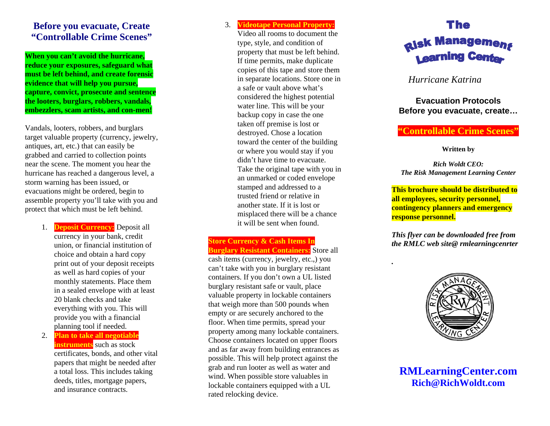# **Before you evacuate, Create "Controllable Crime Scenes"**

**When you can't avoid the hurricane, reduce your exposures, safeguard what must be left behind, and create forensic evidence that will help you pursue, capture, convict, prosecute and sentence the looters, burglars, robbers, vandals, embezzlers, scam artists, and con-men!** 

Vandals, looters, robbers, and burglars target valuable property (currency, jewelry, antiques, art, etc.) that can easily be grabbed and carried to collection points near the scene. The moment you hear the hurricane has reached a dangerous level, a storm warning has been issued, or evacuations might be ordered, begin to assemble property you'll take with you and protect that which must be left behind.

> 1. **Deposit Currency:** Deposit all currency in your bank, credit union, or financial institution of choice and obtain a hard copy print out of your deposit receipts as well as hard copies of your monthly statements. Place them in a sealed envelope with at least 20 blank checks and take everything with you. This will provide you with a financial planning tool if needed.

> 2. **Plan to take all negotiable instruments** such as stock certificates, bonds, and other vital papers that might be needed after a total loss. This includes taking deeds, titles, mortgage papers, and insurance contracts.

#### 3.**Videotape Personal Property:**

Video all rooms to document the type, style, and condition of property that must be left behind. If time permits, make duplicate copies of this tape and store them in separate locations. Store one in a safe or vault above what's considered the highest potential water line. This will be your backup copy in case the one taken off premise is lost or destroyed. Chose a location toward the center of the building or where you would stay if you didn't have time to evacuate. Take the original tape with you in an unmarked or coded envelope stamped and addressed to a trusted friend or relative in another state. If it is lost or misplaced there will be a chance it will be sent when found.

#### **Store Currency & Cash Items In Burglary Resistant Containers:** Store all

cash items (currency, jewelry, etc.,) you can't take with you in burglary resistant containers. If you don't own a UL listed burglary resistant safe or vault, place valuable property in lockable containers that weigh more than 500 pounds when empty or are securely anchored to the floor. When time permits, spread your property among many lockable containers. Choose containers located on upper floors and as far away from building entrances as possible. This will help protect against the grab and run looter as well as water and wind. When possible store valuables in lockable containers equipped with a UL rated relocking device.



### *Hurricane Katrina*

#### **Evacuation Protocols Before you evacuate, create…**

# **"Controllable Crime Scenes"**

**Written by** 

*Rich Woldt CEO: The Risk Management Learning Center* 

**This brochure should be distributed to all employees, security personnel, contingency planners and emergency response personnel.** 

*This flyer can be downloaded free from the RMLC web site@ rmlearningcenrter* 

*.* 



**RMLearningCenter.com Rich@RichWoldt.com**